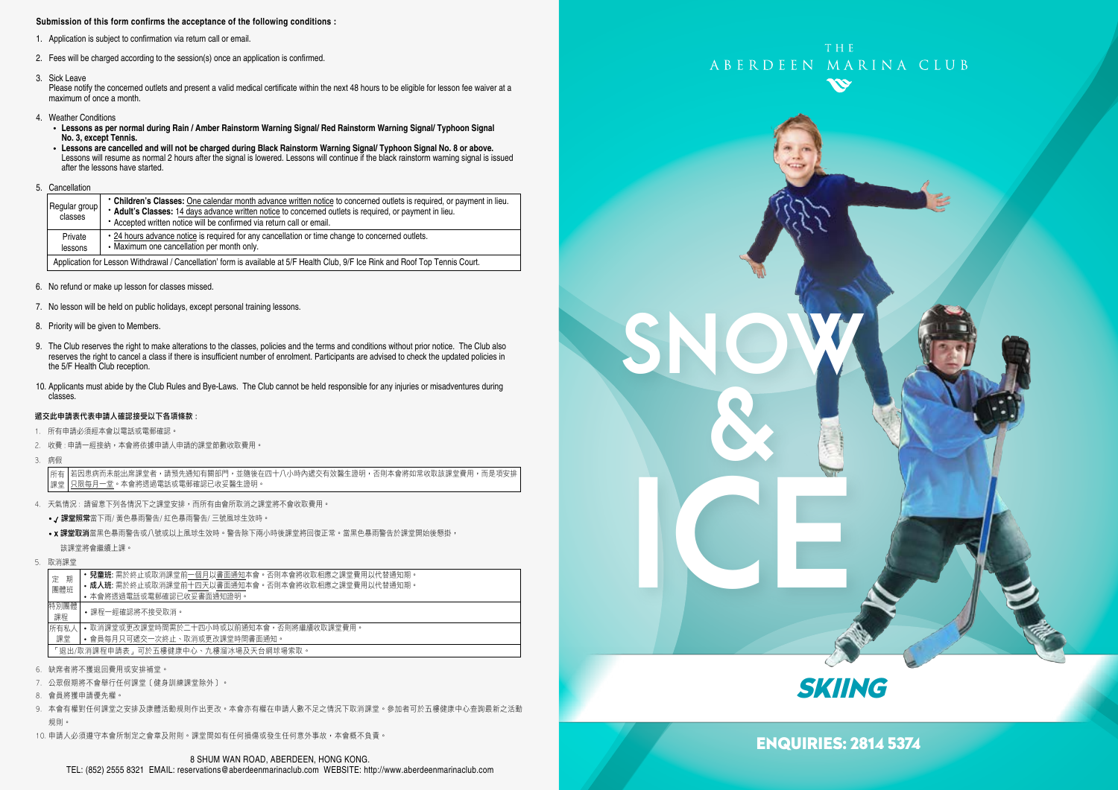### **Submission of this form confirms the acceptance of the following conditions :**

- 1. Application is subject to confirmation via return call or email.
- 2. Fees will be charged according to the session(s) once an application is confirmed.
- 3. Sick Leave

Please notify the concerned outlets and present a valid medical certificate within the next 48 hours to be eligible for lesson fee waiver at a maximum of once a month.

- 4. Weather Conditions
	- **Lessons as per normal during Rain / Amber Rainstorm Warning Signal/ Red Rainstorm Warning Signal/ Typhoon Signal No. 3, except Tennis.**
	- **Lessons are cancelled and will not be charged during Black Rainstorm Warning Signal/ Typhoon Signal No. 8 or above.** Lessons will resume as normal 2 hours after the signal is lowered. Lessons will continue if the black rainstorm warning signal is issued after the lessons have started.
- 5. Cancellation

| Regular group<br>classes                                                                                                        | • Children's Classes: One calendar month advance written notice to concerned outlets is required, or payment in lieu.<br>* Adult's Classes: 14 days advance written notice to concerned outlets is required, or payment in lieu.<br>* Accepted written notice will be confirmed via return call or email. |  |  |  |
|---------------------------------------------------------------------------------------------------------------------------------|-----------------------------------------------------------------------------------------------------------------------------------------------------------------------------------------------------------------------------------------------------------------------------------------------------------|--|--|--|
| Private<br>lessons                                                                                                              | • 24 hours advance notice is required for any cancellation or time change to concerned outlets.<br>• Maximum one cancellation per month only.                                                                                                                                                             |  |  |  |
| Application for Lesson Withdrawal / Cancellation' form is available at 5/F Health Club, 9/F Ice Rink and Roof Top Tennis Court. |                                                                                                                                                                                                                                                                                                           |  |  |  |

- 6. No refund or make up lesson for classes missed.
- 7. No lesson will be held on public holidays, except personal training lessons.
- 8. Priority will be given to Members.
- 9. The Club reserves the right to make alterations to the classes, policies and the terms and conditions without prior notice. The Club also reserves the right to cancel a class if there is insufficient number of enrolment. Participants are advised to check the updated policies in the 5/F Health Club reception.
- 10. Applicants must abide by the Club Rules and Bye-Laws. The Club cannot be held responsible for any injuries or misadventures during classes.

### 遞交此申請表代表申請人確認接受以下各項條款 :

- 1. 所有申請必須經本會以電話或電郵確認。
- 2. 收費 : 申請一經接納,本會將依據申請人申請的課堂節數收取費用。
- 3. 病假

若因患病而未能出席課堂者,請預先通知有關部門,並隨後在四十八小時內遞交有效醫生證明,否則本會將如常收取該課堂費用,而是項安排 只限每月一堂。本會將透過電話或電郵確認已收妥醫生證明。 所有 課堂

- 4. 天氣情況 : 請留意下列各情況下之課堂安排,而所有由會所取消之課堂將不會收取費用。
	- / 課堂照常當下雨/ 黃色暴雨警告/ 紅色暴雨警告/ 三號風球生效時。
	- x 課堂取消當黑色暴雨警告或八號或以上風球生效時。警告除下兩小時後課堂將回復正常。當黑色暴雨警告於課堂開始後懸掛, 該課堂將會繼續上課。
- 5. 取消課堂

|  | 期<br>定<br>團體班 |                                     | <b>兒童班:</b> 需於終止或取消課堂前一個月以書面通知本會。否則本會將收取相應之課堂費用以代替通知期。<br>• 成人班: 需於終止或取消課堂前十四天以書面通知本會。否則本會將收取相應之課堂費用以代替通知期。<br>• 本會將诱過電話或電郵確認已收妥書面通知證明。 |  |  |  |  |  |
|--|---------------|-------------------------------------|-----------------------------------------------------------------------------------------------------------------------------------------|--|--|--|--|--|
|  | 特別團體<br>課程    |                                     | • 課程一經確認將不接受取消。                                                                                                                         |  |  |  |  |  |
|  | 所有私人          |                                     | • 取消課堂或更改課堂時間需於二十四小時或以前捅知本會,否則將繼續收取課堂費用。<br>• 會員每月只可褫交一次終止、取消或更改課堂時間書面通知。                                                               |  |  |  |  |  |
|  | 課堂            | 「狠出/取消課程申請表,可於五樓健康中心、九樓溜冰場及天台網球場索取。 |                                                                                                                                         |  |  |  |  |  |
|  |               |                                     |                                                                                                                                         |  |  |  |  |  |

- 6. 缺席者將不獲退回費用或安排補堂。
- 7. 公眾假期將不會舉行任何課堂﹝健身訓練課堂除外﹞。
- 8. 會員將獲申請優先權。
- 9. 本會有權對任何課堂之安排及康體活動規則作出更改。本會亦有權在申請人數不足之情況下取消課堂。參加者可於五樓健康中心查詢最新之活動 規則。
- 10. 申請人必須遵守本會所制定之會章及附則。課堂間如有任何損傷或發生任何意外事故,本會概不負責。







## ENQUIRIES: 2814 5374